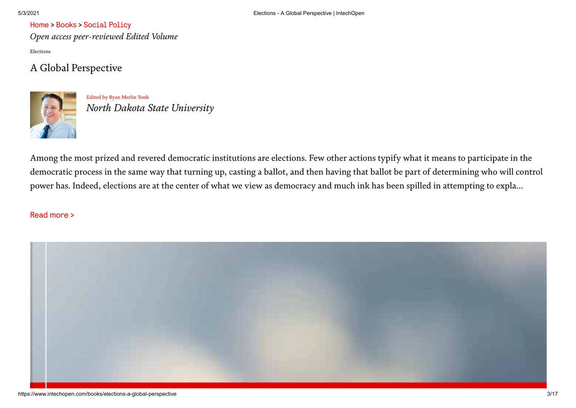*Open access peer-reviewed Edited Volume* Elections

## A Global Perspective



Edited by Ryan [Merlin](https://www.intechopen.com/profiles/196259/ryan-merlin-yonk) Yonk *North Dakota State University*

Among the most prized and revered democratic institutions are elections. Few other actions typify what it means to participate in the democratic process in the same way that turning up, casting a ballot, and then having that ballot be part of determining who will control power has. Indeed, elections are at the center of what we view as democracy and much ink has been spilled in attempting to expla...

#### Read more >

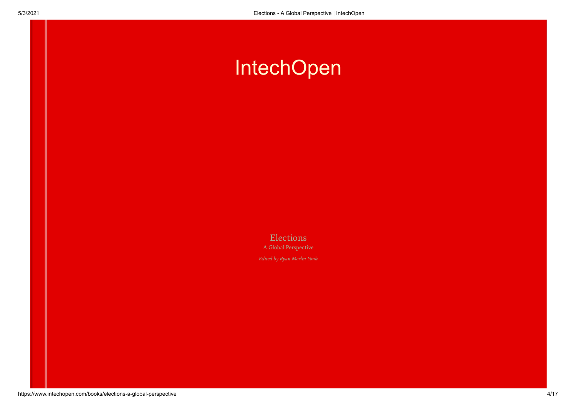# **[IntechOpen](https://www.intechopen.com/books/elections-a-global-perspective)**

**Elections** A Global Perspective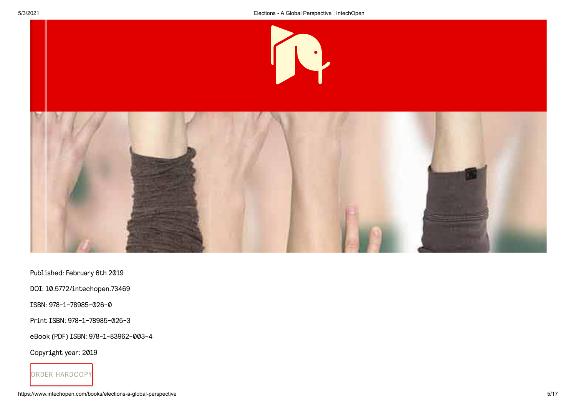



Published: February 6th 2019

DOI: 10.5772/intechopen.73469

ISBN: 978-1-78985-026-0

Print ISBN: 978-1-78985-025-3

eBook (PDF) ISBN: 978-1-83962-003-4

Copyright year: 2019

ORDER HARDCOPY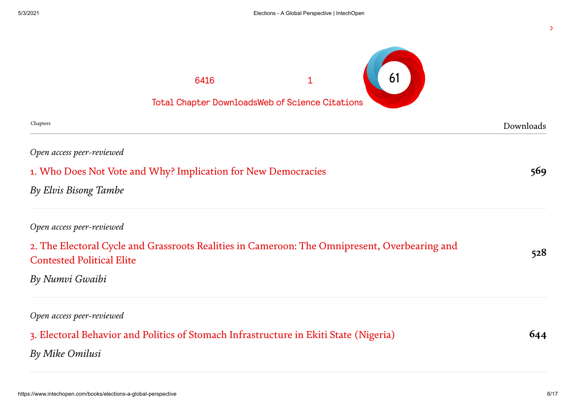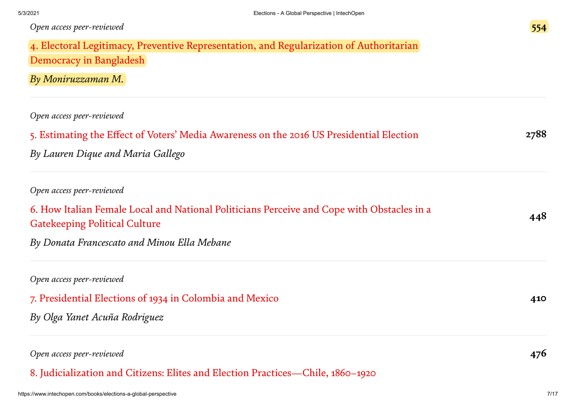| Open access peer-reviewed                                                                  |      |
|--------------------------------------------------------------------------------------------|------|
| 4. Electoral Legitimacy, Preventive Representation, and Regularization of Authoritarian    |      |
| Democracy in Bangladesh                                                                    |      |
| By Moniruzzaman M.                                                                         |      |
| Open access peer-reviewed                                                                  |      |
| 5. Estimating the Effect of Voters' Media Awareness on the 2016 US Presidential Election   | 2788 |
| By Lauren Dique and Maria Gallego                                                          |      |
| Open access peer-reviewed                                                                  |      |
| 6. How Italian Female Local and National Politicians Perceive and Cope with Obstacles in a | 448  |
| <b>Gatekeeping Political Culture</b>                                                       |      |
| By Donata Francescato and Minou Ella Mebane                                                |      |
| Open access peer-reviewed                                                                  |      |
| 7. Presidential Elections of 1934 in Colombia and Mexico                                   | 410  |
| By Olga Yanet Acuña Rodriguez                                                              |      |
| Open access peer-reviewed                                                                  | 476  |

8. Judicialization and Citizens: Elites and Election [Practices—Chile,](https://www.intechopen.com/books/elections-a-global-perspective/judicialization-and-citizens-elites-and-election-practices-chile-1860-1920) 1860–1920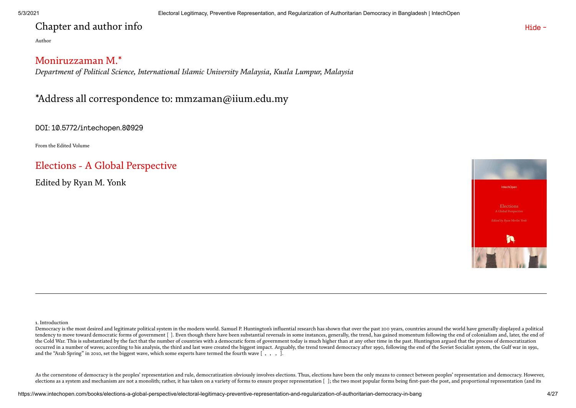## Chapter and author info

Author

## Moniruzzaman M.\*

*Department of Political Science, International Islamic University Malaysia, Kuala Lumpur, Malaysia*

## \*Address all correspondence to: mmzaman@iium.edu.my

DOI: 10.5772/intechopen.80929

From the Edited Volume

## Elections - A Global [Perspective](https://www.intechopen.com/books/elections-a-global-perspective)

Edited by Ryan M. Yonk



Hide -

1. Introduction

As the cornerstone of democracy is the peoples' representation and rule, democratization obviously involves elections. Thus, elections have been the only means to connect between peoples' representation and democracy. Howe elections as a system and mechanism are not a monolith; rather, it has taken on a variety of forms to ensure proper representation []; the two most popular forms being first-past-the post, and proportional representation (

Democracy is the most desired and legitimate political system in the modern world. Samuel P. Huntington's influential research has shown that over the past 200 years, countries around the world have generally displayed a p tendency to move toward democratic forms of government [ ]. Even though there have been substantial reversals in some instances, generally, the trend, has gained momentum following the end of colonialism and, later, the en the Cold War. This is substantiated by the fact that the number of countries with a democratic form of government today is much higher than at any other time in the past. Huntington argued that the process of democratizati occurred in a number of waves; according to his analysis, the third and last wave created the biggest impact. Arguably, the trend toward democracy after 1990, following the end of the Soviet Socialist system, the Gulf war and the "Arab Spring" in 2010, set the biggest wave, which some experts have termed the fourth wave [,,,,].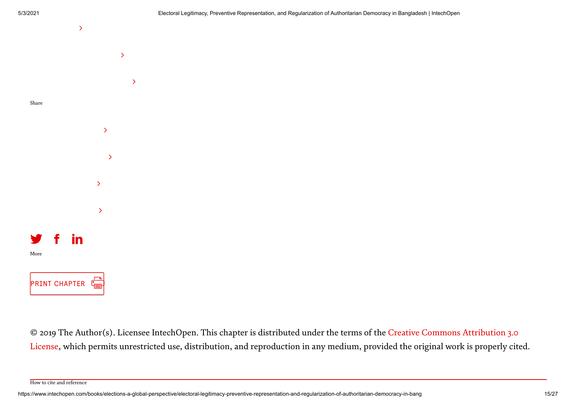

© 2019 The Author(s). [Licensee IntechOpen.](http://creativecommons.org/licenses/by/3.0) This chapter is distributed under the terms of the Creative Commons Attribution 3.0 License, which permits unrestricted use, distribution, and reproduction in any medium, provided the original work is properly cited.

How to cite and reference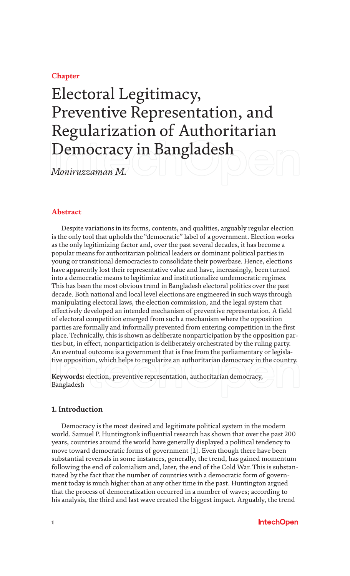### **Chapter**

## Electoral Legitimacy, Preventive Representation, and Regularization of Authoritarian Democracy in Bangladesh

*Moniruzzaman M.*

#### **Abstract**

Despite variations in its forms, contents, and qualities, arguably regular election is the only tool that upholds the "democratic" label of a government. Election works as the only legitimizing factor and, over the past several decades, it has become a popular means for authoritarian political leaders or dominant political parties in young or transitional democracies to consolidate their powerbase. Hence, elections have apparently lost their representative value and have, increasingly, been turned into a democratic means to legitimize and institutionalize undemocratic regimes. This has been the most obvious trend in Bangladesh electoral politics over the past decade. Both national and local level elections are engineered in such ways through manipulating electoral laws, the election commission, and the legal system that effectively developed an intended mechanism of preventive representation. A field of electoral competition emerged from such a mechanism where the opposition parties are formally and informally prevented from entering competition in the first place. Technically, this is shown as deliberate nonparticipation by the opposition parties but, in effect, nonparticipation is deliberately orchestrated by the ruling party. An eventual outcome is a government that is free from the parliamentary or legislative opposition, which helps to regularize an authoritarian democracy in the country.

**Keywords:** election, preventive representation, authoritarian democracy, Bangladesh

#### **1. Introduction**

Democracy is the most desired and legitimate political system in the modern world. Samuel P. Huntington's influential research has shown that over the past 200 years, countries around the world have generally displayed a political tendency to move toward democratic forms of government [1]. Even though there have been substantial reversals in some instances, generally, the trend, has gained momentum following the end of colonialism and, later, the end of the Cold War. This is substantiated by the fact that the number of countries with a democratic form of government today is much higher than at any other time in the past. Huntington argued that the process of democratization occurred in a number of waves; according to his analysis, the third and last wave created the biggest impact. Arguably, the trend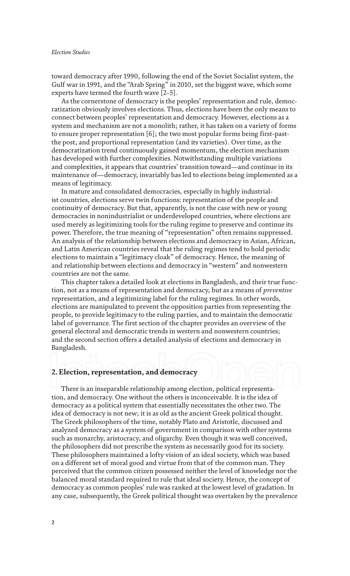toward democracy after 1990, following the end of the Soviet Socialist system, the Gulf war in 1991, and the "Arab Spring" in 2010, set the biggest wave, which some experts have termed the fourth wave [2–5].

As the cornerstone of democracy is the peoples' representation and rule, democratization obviously involves elections. Thus, elections have been the only means to connect between peoples' representation and democracy. However, elections as a system and mechanism are not a monolith; rather, it has taken on a variety of forms to ensure proper representation [6]; the two most popular forms being first-pastthe post, and proportional representation (and its varieties). Over time, as the democratization trend continuously gained momentum, the election mechanism has developed with further complexities. Notwithstanding multiple variations and complexities, it appears that countries' transition toward—and continue in its maintenance of—democracy, invariably has led to elections being implemented as a means of legitimacy.

In mature and consolidated democracies, especially in highly industrialist countries, elections serve twin functions: representation of the people and continuity of democracy. But that, apparently, is not the case with new or young democracies in nonindustrialist or underdeveloped countries, where elections are used merely as legitimizing tools for the ruling regime to preserve and continue its power. Therefore, the true meaning of "representation" often remains suppressed. An analysis of the relationship between elections and democracy in Asian, African, and Latin American countries reveal that the ruling regimes tend to hold periodic elections to maintain a "legitimacy cloak" of democracy. Hence, the meaning of and relationship between elections and democracy in "western" and nonwestern countries are not the same.

This chapter takes a detailed look at elections in Bangladesh, and their true function, not as a means of representation and democracy, but as a means of *preventive* representation, and a legitimizing label for the ruling regimes. In other words, elections are manipulated to prevent the opposition parties from representing the people, to provide legitimacy to the ruling parties, and to maintain the democratic label of governance. The first section of the chapter provides an overview of the general electoral and democratic trends in western and nonwestern countries; and the second section offers a detailed analysis of elections and democracy in Bangladesh.

#### **2. Election, representation, and democracy**

There is an inseparable relationship among election, political representation, and democracy. One without the others is inconceivable. It is the idea of democracy as a political system that essentially necessitates the other two. The idea of democracy is not new; it is as old as the ancient Greek political thought. The Greek philosophers of the time, notably Plato and Aristotle, discussed and analyzed democracy as a system of government in comparison with other systems such as monarchy, aristocracy, and oligarchy. Even though it was well conceived, the philosophers did not prescribe the system as necessarily good for its society. These philosophers maintained a lofty vision of an ideal society, which was based on a different set of moral good and virtue from that of the common man. They perceived that the common citizen possessed neither the level of knowledge nor the balanced moral standard required to rule that ideal society. Hence, the concept of democracy as common peoples' rule was ranked at the lowest level of gradation. In any case, subsequently, the Greek political thought was overtaken by the prevalence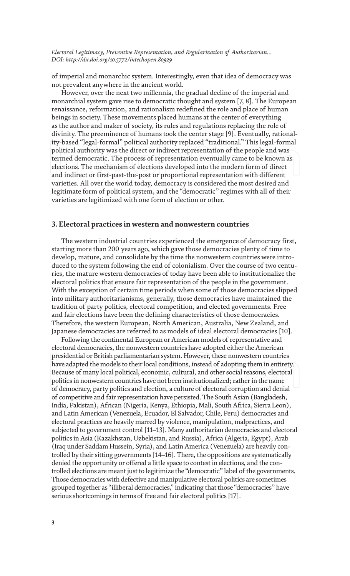of imperial and monarchic system. Interestingly, even that idea of democracy was not prevalent anywhere in the ancient world.

However, over the next two millennia, the gradual decline of the imperial and monarchial system gave rise to democratic thought and system [7, 8]. The European renaissance, reformation, and rationalism redefined the role and place of human beings in society. These movements placed humans at the center of everything as the author and maker of society, its rules and regulations replacing the role of divinity. The preeminence of humans took the center stage [9]. Eventually, rationality-based "legal-formal" political authority replaced "traditional." This legal-formal political authority was the direct or indirect representation of the people and was termed democratic. The process of representation eventually came to be known as elections. The mechanism of elections developed into the modern form of direct and indirect or first-past-the-post or proportional representation with different varieties. All over the world today, democracy is considered the most desired and legitimate form of political system, and the "democratic" regimes with all of their varieties are legitimized with one form of election or other.

#### **3. Electoral practices in western and nonwestern countries**

The western industrial countries experienced the emergence of democracy first, starting more than 200 years ago, which gave those democracies plenty of time to develop, mature, and consolidate by the time the nonwestern countries were introduced to the system following the end of colonialism. Over the course of two centuries, the mature western democracies of today have been able to institutionalize the electoral politics that ensure fair representation of the people in the government. With the exception of certain time periods when some of those democracies slipped into military authoritarianisms, generally, those democracies have maintained the tradition of party politics, electoral competition, and elected governments. Free and fair elections have been the defining characteristics of those democracies. Therefore, the western European, North American, Australia, New Zealand, and Japanese democracies are referred to as models of ideal electoral democracies [10].

Following the continental European or American models of representative and electoral democracies, the nonwestern countries have adopted either the American presidential or British parliamentarian system. However, these nonwestern countries have adapted the models to their local conditions, instead of adopting them in entirety. Because of many local political, economic, cultural, and other social reasons, electoral politics in nonwestern countries have not been institutionalized; rather in the name of democracy, party politics and election, a culture of electoral corruption and denial of competitive and fair representation have persisted. The South Asian (Bangladesh, India, Pakistan), African (Nigeria, Kenya, Ethiopia, Mali, South Africa, Sierra Leon), and Latin American (Venezuela, Ecuador, El Salvador, Chile, Peru) democracies and electoral practices are heavily marred by violence, manipulation, malpractices, and subjected to government control [11–13]. Many authoritarian democracies and electoral politics in Asia (Kazakhstan, Uzbekistan, and Russia), Africa (Algeria, Egypt), Arab (Iraq under Saddam Hussein, Syria), and Latin America (Venezuela) are heavily controlled by their sitting governments [14–16]. There, the oppositions are systematically denied the opportunity or offered a little space to contest in elections, and the controlled elections are meant just to legitimize the "democratic" label of the governments. Those democracies with defective and manipulative electoral politics are sometimes grouped together as "illiberal democracies," indicating that those "democracies" have serious shortcomings in terms of free and fair electoral politics [17].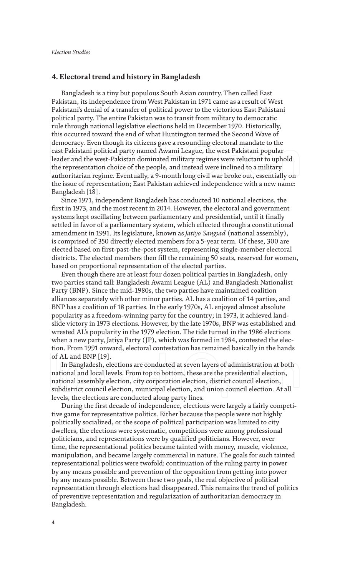#### **4. Electoral trend and history in Bangladesh**

Bangladesh is a tiny but populous South Asian country. Then called East Pakistan, its independence from West Pakistan in 1971 came as a result of West Pakistani's denial of a transfer of political power to the victorious East Pakistani political party. The entire Pakistan was to transit from military to democratic rule through national legislative elections held in December 1970. Historically, this occurred toward the end of what Huntington termed the Second Wave of democracy. Even though its citizens gave a resounding electoral mandate to the east Pakistani political party named Awami League, the west Pakistani popular leader and the west-Pakistan dominated military regimes were reluctant to uphold the representation choice of the people, and instead were inclined to a military authoritarian regime. Eventually, a 9-month long civil war broke out, essentially on the issue of representation; East Pakistan achieved independence with a new name: Bangladesh [18].

Since 1971, independent Bangladesh has conducted 10 national elections, the first in 1973, and the most recent in 2014. However, the electoral and government systems kept oscillating between parliamentary and presidential, until it finally settled in favor of a parliamentary system, which effected through a constitutional amendment in 1991. Its legislature, known as *Jatiyo Sangsad* (national assembly), is comprised of 350 directly elected members for a 5-year term. Of these, 300 are elected based on first-past-the-post system, representing single-member electoral districts. The elected members then fill the remaining 50 seats, reserved for women, based on proportional representation of the elected parties.

Even though there are at least four dozen political parties in Bangladesh, only two parties stand tall: Bangladesh Awami League (AL) and Bangladesh Nationalist Party (BNP). Since the mid-1980s, the two parties have maintained coalition alliances separately with other minor parties. AL has a coalition of 14 parties, and BNP has a coalition of 18 parties. In the early 1970s, AL enjoyed almost absolute popularity as a freedom-winning party for the country; in 1973, it achieved landslide victory in 1973 elections. However, by the late 1970s, BNP was established and wrested AL's popularity in the 1979 election. The tide turned in the 1986 elections when a new party, Jatiya Party (JP), which was formed in 1984, contested the election. From 1991 onward, electoral contestation has remained basically in the hands of AL and BNP [19].

In Bangladesh, elections are conducted at seven layers of administration at both national and local levels. From top to bottom, these are the presidential election, national assembly election, city corporation election, district council election, subdistrict council election, municipal election, and union council election. At all levels, the elections are conducted along party lines.

During the first decade of independence, elections were largely a fairly competitive game for representative politics. Either because the people were not highly politically socialized, or the scope of political participation was limited to city dwellers, the elections were systematic, competitions were among professional politicians, and representations were by qualified politicians. However, over time, the representational politics became tainted with money, muscle, violence, manipulation, and became largely commercial in nature. The goals for such tainted representational politics were twofold: continuation of the ruling party in power by any means possible and prevention of the opposition from getting into power by any means possible. Between these two goals, the real objective of political representation through elections had disappeared. This remains the trend of politics of preventive representation and regularization of authoritarian democracy in Bangladesh.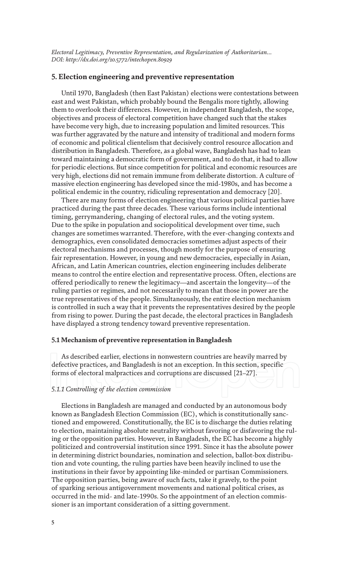#### **5. Election engineering and preventive representation**

Until 1970, Bangladesh (then East Pakistan) elections were contestations between east and west Pakistan, which probably bound the Bengalis more tightly, allowing them to overlook their differences. However, in independent Bangladesh, the scope, objectives and process of electoral competition have changed such that the stakes have become very high, due to increasing population and limited resources. This was further aggravated by the nature and intensity of traditional and modern forms of economic and political clientelism that decisively control resource allocation and distribution in Bangladesh. Therefore, as a global wave, Bangladesh has had to lean toward maintaining a democratic form of government, and to do that, it had to allow for periodic elections. But since competition for political and economic resources are very high, elections did not remain immune from deliberate distortion. A culture of massive election engineering has developed since the mid-1980s, and has become a political endemic in the country, ridiculing representation and democracy [20].

There are many forms of election engineering that various political parties have practiced during the past three decades. These various forms include intentional timing, gerrymandering, changing of electoral rules, and the voting system. Due to the spike in population and sociopolitical development over time, such changes are sometimes warranted. Therefore, with the ever-changing contexts and demographics, even consolidated democracies sometimes adjust aspects of their electoral mechanisms and processes, though mostly for the purpose of ensuring fair representation. However, in young and new democracies, especially in Asian, African, and Latin American countries, election engineering includes deliberate means to control the entire election and representative process. Often, elections are offered periodically to renew the legitimacy—and ascertain the longevity—of the ruling parties or regimes, and not necessarily to mean that those in power are the true representatives of the people. Simultaneously, the entire election mechanism is controlled in such a way that it prevents the representatives desired by the people from rising to power. During the past decade, the electoral practices in Bangladesh have displayed a strong tendency toward preventive representation.

#### **5.1 Mechanism of preventive representation in Bangladesh**

As described earlier, elections in nonwestern countries are heavily marred by defective practices, and Bangladesh is not an exception. In this section, specific forms of electoral malpractices and corruptions are discussed [21–27].

#### *5.1.1 Controlling of the election commission*

Elections in Bangladesh are managed and conducted by an autonomous body known as Bangladesh Election Commission (EC), which is constitutionally sanctioned and empowered. Constitutionally, the EC is to discharge the duties relating to election, maintaining absolute neutrality without favoring or disfavoring the ruling or the opposition parties. However, in Bangladesh, the EC has become a highly politicized and controversial institution since 1991. Since it has the absolute power in determining district boundaries, nomination and selection, ballot-box distribution and vote counting, the ruling parties have been heavily inclined to use the institutions in their favor by appointing like-minded or partisan Commissioners. The opposition parties, being aware of such facts, take it gravely, to the point of sparking serious antigovernment movements and national political crises, as occurred in the mid- and late-1990s. So the appointment of an election commissioner is an important consideration of a sitting government.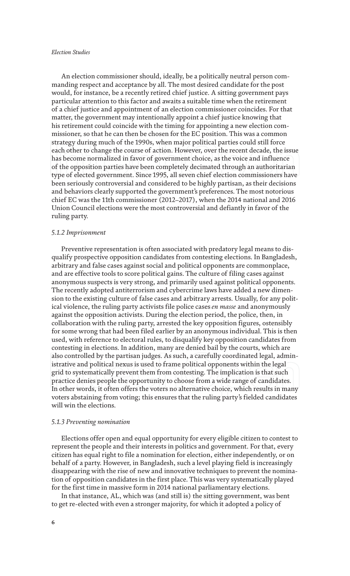An election commissioner should, ideally, be a politically neutral person commanding respect and acceptance by all. The most desired candidate for the post would, for instance, be a recently retired chief justice. A sitting government pays particular attention to this factor and awaits a suitable time when the retirement of a chief justice and appointment of an election commissioner coincides. For that matter, the government may intentionally appoint a chief justice knowing that his retirement could coincide with the timing for appointing a new election commissioner, so that he can then be chosen for the EC position. This was a common strategy during much of the 1990s, when major political parties could still force each other to change the course of action. However, over the recent decade, the issue has become normalized in favor of government choice, as the voice and influence of the opposition parties have been completely decimated through an authoritarian type of elected government. Since 1995, all seven chief election commissioners have been seriously controversial and considered to be highly partisan, as their decisions and behaviors clearly supported the government's preferences. The most notorious chief EC was the 11th commissioner (2012–2017), when the 2014 national and 2016 Union Council elections were the most controversial and defiantly in favor of the ruling party.

#### *5.1.2 Imprisonment*

Preventive representation is often associated with predatory legal means to disqualify prospective opposition candidates from contesting elections. In Bangladesh, arbitrary and false cases against social and political opponents are commonplace, and are effective tools to score political gains. The culture of filing cases against anonymous suspects is very strong, and primarily used against political opponents. The recently adopted antiterrorism and cybercrime laws have added a new dimension to the existing culture of false cases and arbitrary arrests. Usually, for any political violence, the ruling party activists file police cases *en masse* and anonymously against the opposition activists. During the election period, the police, then, in collaboration with the ruling party, arrested the key opposition figures, ostensibly for some wrong that had been filed earlier by an anonymous individual. This is then used, with reference to electoral rules, to disqualify key opposition candidates from contesting in elections. In addition, many are denied bail by the courts, which are also controlled by the partisan judges. As such, a carefully coordinated legal, administrative and political nexus is used to frame political opponents within the legal grid to systematically prevent them from contesting. The implication is that such practice denies people the opportunity to choose from a wide range of candidates. In other words, it often offers the voters no alternative choice, which results in many voters abstaining from voting; this ensures that the ruling party's fielded candidates will win the elections.

#### *5.1.3 Preventing nomination*

Elections offer open and equal opportunity for every eligible citizen to contest to represent the people and their interests in politics and government. For that, every citizen has equal right to file a nomination for election, either independently, or on behalf of a party. However, in Bangladesh, such a level playing field is increasingly disappearing with the rise of new and innovative techniques to prevent the nomination of opposition candidates in the first place. This was very systematically played for the first time in massive form in 2014 national parliamentary elections.

In that instance, AL, which was (and still is) the sitting government, was bent to get re-elected with even a stronger majority, for which it adopted a policy of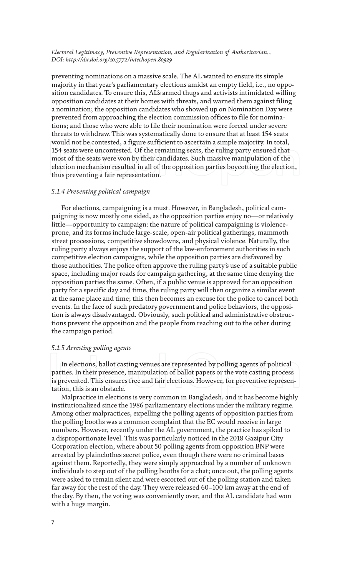preventing nominations on a massive scale. The AL wanted to ensure its simple majority in that year's parliamentary elections amidst an empty field, i.e., no opposition candidates. To ensure this, AL's armed thugs and activists intimidated willing opposition candidates at their homes with threats, and warned them against filing a nomination; the opposition candidates who showed up on Nomination Day were prevented from approaching the election commission offices to file for nominations; and those who were able to file their nomination were forced under severe threats to withdraw. This was systematically done to ensure that at least 154 seats would not be contested, a figure sufficient to ascertain a simple majority. In total, 154 seats were uncontested. Of the remaining seats, the ruling party ensured that most of the seats were won by their candidates. Such massive manipulation of the election mechanism resulted in all of the opposition parties boycotting the election, thus preventing a fair representation.

#### *5.1.4 Preventing political campaign*

For elections, campaigning is a must. However, in Bangladesh, political campaigning is now mostly one sided, as the opposition parties enjoy no—or relatively little—opportunity to campaign: the nature of political campaigning is violenceprone, and its forms include large-scale, open-air political gatherings, mammoth street processions, competitive showdowns, and physical violence. Naturally, the ruling party always enjoys the support of the law-enforcement authorities in such competitive election campaigns, while the opposition parties are disfavored by those authorities. The police often approve the ruling party's use of a suitable public space, including major roads for campaign gathering, at the same time denying the opposition parties the same. Often, if a public venue is approved for an opposition party for a specific day and time, the ruling party will then organize a similar event at the same place and time; this then becomes an excuse for the police to cancel both events. In the face of such predatory government and police behaviors, the opposition is always disadvantaged. Obviously, such political and administrative obstructions prevent the opposition and the people from reaching out to the other during the campaign period.

#### *5.1.5 Arresting polling agents*

In elections, ballot casting venues are represented by polling agents of political parties. In their presence, manipulation of ballot papers or the vote casting process is prevented. This ensures free and fair elections. However, for preventive representation, this is an obstacle.

Malpractice in elections is very common in Bangladesh, and it has become highly institutionalized since the 1986 parliamentary elections under the military regime. Among other malpractices, expelling the polling agents of opposition parties from the polling booths was a common complaint that the EC would receive in large numbers. However, recently under the AL government, the practice has spiked to a disproportionate level. This was particularly noticed in the 2018 Gazipur City Corporation election, where about 50 polling agents from opposition BNP were arrested by plainclothes secret police, even though there were no criminal bases against them. Reportedly, they were simply approached by a number of unknown individuals to step out of the polling booths for a chat; once out, the polling agents were asked to remain silent and were escorted out of the polling station and taken far away for the rest of the day. They were released 60–100 km away at the end of the day. By then, the voting was conveniently over, and the AL candidate had won with a huge margin.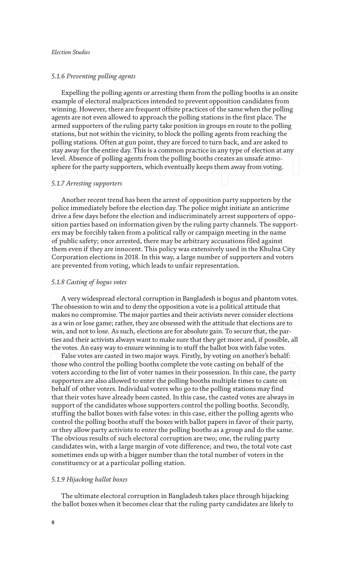#### *5.1.6 Preventing polling agents*

Expelling the polling agents or arresting them from the polling booths is an onsite example of electoral malpractices intended to prevent opposition candidates from winning. However, there are frequent offsite practices of the same when the polling agents are not even allowed to approach the polling stations in the first place. The armed supporters of the ruling party take position in groups en route to the polling stations, but not within the vicinity, to block the polling agents from reaching the polling stations. Often at gun point, they are forced to turn back, and are asked to stay away for the entire day. This is a common practice in any type of election at any level. Absence of polling agents from the polling booths creates an unsafe atmosphere for the party supporters, which eventually keeps them away from voting.

#### *5.1.7 Arresting supporters*

Another recent trend has been the arrest of opposition party supporters by the police immediately before the election day. The police might initiate an anticrime drive a few days before the election and indiscriminately arrest supporters of opposition parties based on information given by the ruling party channels. The supporters may be forcibly taken from a political rally or campaign meeting in the name of public safety; once arrested, there may be arbitrary accusations filed against them even if they are innocent. This policy was extensively used in the Khulna City Corporation elections in 2018. In this way, a large number of supporters and voters are prevented from voting, which leads to unfair representation.

#### *5.1.8 Casting of bogus votes*

A very widespread electoral corruption in Bangladesh is bogus and phantom votes. The obsession to win and to deny the opposition a vote is a political attitude that makes no compromise. The major parties and their activists never consider elections as a win or lose game; rather, they are obsessed with the attitude that elections are to win, and not to lose. As such, elections are for absolute gain. To secure that, the parties and their activists always want to make sure that they get more and, if possible, all the votes. An easy way to ensure winning is to stuff the ballot box with false votes.

False votes are casted in two major ways. Firstly, by voting on another's behalf: those who control the polling booths complete the vote casting on behalf of the voters according to the list of voter names in their possession. In this case, the party supporters are also allowed to enter the polling booths multiple times to caste on behalf of other voters. Individual voters who go to the polling stations may find that their votes have already been casted. In this case, the casted votes are always in support of the candidates whose supporters control the polling booths. Secondly, stuffing the ballot boxes with false votes: in this case, either the polling agents who control the polling booths stuff the boxes with ballot papers in favor of their party, or they allow party activists to enter the polling booths as a group and do the same. The obvious results of such electoral corruption are two; one, the ruling party candidates win, with a large margin of vote difference; and two, the total vote cast sometimes ends up with a bigger number than the total number of voters in the constituency or at a particular polling station.

#### *5.1.9 Hijacking ballot boxes*

The ultimate electoral corruption in Bangladesh takes place through hijacking the ballot boxes when it becomes clear that the ruling party candidates are likely to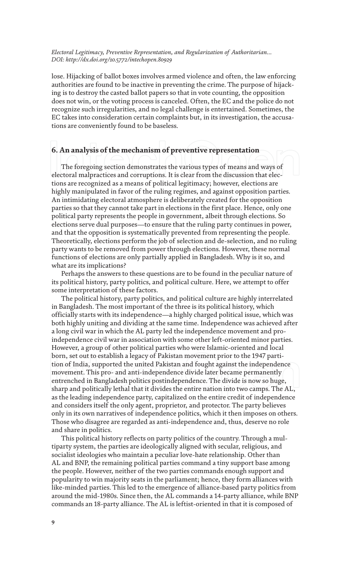lose. Hijacking of ballot boxes involves armed violence and often, the law enforcing authorities are found to be inactive in preventing the crime. The purpose of hijacking is to destroy the casted ballot papers so that in vote counting, the opposition does not win, or the voting process is canceled. Often, the EC and the police do not recognize such irregularities, and no legal challenge is entertained. Sometimes, the EC takes into consideration certain complaints but, in its investigation, the accusations are conveniently found to be baseless.

### **6. An analysis of the mechanism of preventive representation**

The foregoing section demonstrates the various types of means and ways of electoral malpractices and corruptions. It is clear from the discussion that elections are recognized as a means of political legitimacy; however, elections are highly manipulated in favor of the ruling regimes, and against opposition parties. An intimidating electoral atmosphere is deliberately created for the opposition parties so that they cannot take part in elections in the first place. Hence, only one political party represents the people in government, albeit through elections. So elections serve dual purposes—to ensure that the ruling party continues in power, and that the opposition is systematically prevented from representing the people. Theoretically, elections perform the job of selection and de-selection, and no ruling party wants to be removed from power through elections. However, these normal functions of elections are only partially applied in Bangladesh. Why is it so, and what are its implications?

Perhaps the answers to these questions are to be found in the peculiar nature of its political history, party politics, and political culture. Here, we attempt to offer some interpretation of these factors.

The political history, party politics, and political culture are highly interrelated in Bangladesh. The most important of the three is its political history, which officially starts with its independence—a highly charged political issue, which was both highly uniting and dividing at the same time. Independence was achieved after a long civil war in which the AL party led the independence movement and proindependence civil war in association with some other left-oriented minor parties. However, a group of other political parties who were Islamic-oriented and local born, set out to establish a legacy of Pakistan movement prior to the 1947 partition of India, supported the united Pakistan and fought against the independence movement. This pro- and anti-independence divide later became permanently entrenched in Bangladesh politics postindependence. The divide is now so huge, sharp and politically lethal that it divides the entire nation into two camps. The AL, as the leading independence party, capitalized on the entire credit of independence and considers itself the only agent, proprietor, and protector. The party believes only in its own narratives of independence politics, which it then imposes on others. Those who disagree are regarded as anti-independence and, thus, deserve no role and share in politics.

This political history reflects on party politics of the country. Through a multiparty system, the parties are ideologically aligned with secular, religious, and socialist ideologies who maintain a peculiar love-hate relationship. Other than AL and BNP, the remaining political parties command a tiny support base among the people. However, neither of the two parties commands enough support and popularity to win majority seats in the parliament; hence, they form alliances with like-minded parties. This led to the emergence of alliance-based party politics from around the mid-1980s. Since then, the AL commands a 14-party alliance, while BNP commands an 18-party alliance. The AL is leftist-oriented in that it is composed of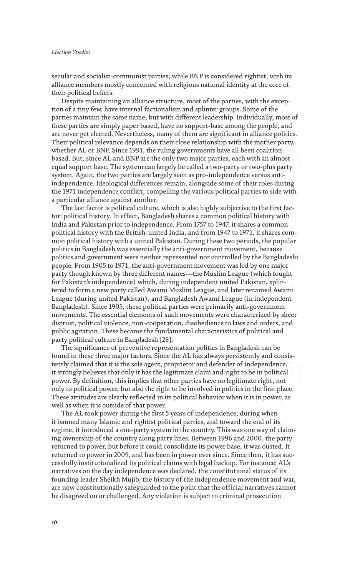secular and socialist-communist parties; while BNP is considered rightist, with its alliance members mostly concerned with religious national identity at the core of their political beliefs.

Despite maintaining an alliance structure, most of the parties, with the exception of a tiny few, have internal factionalism and splinter groups. Some of the parties maintain the same name, but with different leadership. Individually, most of these parties are simply paper based, have no support-base among the people, and are never get elected. Nevertheless, many of them are significant in alliance politics. Their political relevance depends on their close relationship with the mother party, whether AL or BNP. Since 1991, the ruling governments have all been coalitionbased. But, since AL and BNP are the only two major parties, each with an almost equal support base. The system can largely be called a two-party or two-plus party system. Again, the two parties are largely seen as pro-independence versus antiindependence. Ideological differences remain, alongside some of their roles during the 1971 independence conflict, compelling the various political parties to side with a particular alliance against another.

The last factor is political culture, which is also highly subjective to the first factor: political history. In effect, Bangladesh shares a common political history with India and Pakistan prior to independence. From 1757 to 1947, it shares a common political history with the British-united India, and from 1947 to 1971, it shares common political history with a united Pakistan. During these two periods, the popular politics in Bangladesh was essentially the anti-government movement, because politics and government were neither represented nor controlled by the Bangladeshi people. From 1905 to 1971, the anti-government movement was led by one major party though known by three different names—the Muslim League (which fought for Pakistan's independence) which, during independent united Pakistan, splintered to form a new party called Awami Muslim League, and later renamed Awami League (during united Pakistan), and Bangladesh Awami League (in independent Bangladesh). Since 1905, these political parties were primarily anti-government movements. The essential elements of such movements were characterized by sheer distrust, political violence, non-cooperation, disobedience to laws and orders, and public agitation. These became the fundamental characteristics of political and party political culture in Bangladesh [28].

The significance of preventive representation politics in Bangladesh can be found in these three major factors. Since the AL has always persistently and consistently claimed that it is the sole agent, proprietor and defender of independence, it strongly believes that only it has the legitimate claim and right to be in political power. By definition, this implies that other parties have no legitimate right, not only to political power, but also the right to be involved in politics in the first place. These attitudes are clearly reflected in its political behavior when it is in power, as well as when it is outside of that power.

The AL took power during the first 5 years of independence, during when it banned many Islamic and rightist political parties, and toward the end of its regime, it introduced a one-party system in the country. This was one way of claiming ownership of the country along party lines. Between 1996 and 2000, the party returned to power, but before it could consolidate its power base, it was ousted. It returned to power in 2009, and has been in power ever since. Since then, it has successfully institutionalized its political claims with legal backup. For instance: AL's narratives on the day independence was declared, the constitutional status of its founding leader Sheikh Mujib, the history of the independence movement and war, are now constitutionally safeguarded to the point that the official narratives cannot be disagreed on or challenged. Any violation is subject to criminal prosecution.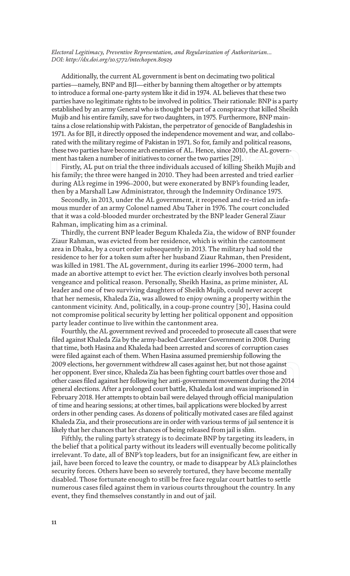Additionally, the current AL government is bent on decimating two political parties—namely, BNP and BJI—either by banning them altogether or by attempts to introduce a formal one-party system like it did in 1974. AL believes that these two parties have no legitimate rights to be involved in politics. Their rationale: BNP is a party established by an army General who is thought be part of a conspiracy that killed Sheikh Mujib and his entire family, save for two daughters, in 1975. Furthermore, BNP maintains a close relationship with Pakistan, the perpetrator of genocide of Bangladeshis in 1971. As for BJI, it directly opposed the independence movement and war, and collaborated with the military regime of Pakistan in 1971. So for, family and political reasons, these two parties have become arch enemies of AL. Hence, since 2010, the AL government has taken a number of initiatives to corner the two parties [29].

Firstly, AL put on trial the three individuals accused of killing Sheikh Mujib and his family; the three were hanged in 2010. They had been arrested and tried earlier during AL's regime in 1996–2000, but were exonerated by BNP's founding leader, then by a Marshall Law Administrator, through the Indemnity Ordinance 1975.

Secondly, in 2013, under the AL government, it reopened and re-tried an infamous murder of an army Colonel named Abu Taher in 1976. The court concluded that it was a cold-blooded murder orchestrated by the BNP leader General Ziaur Rahman, implicating him as a criminal.

Thirdly, the current BNP leader Begum Khaleda Zia, the widow of BNP founder Ziaur Rahman, was evicted from her residence, which is within the cantonment area in Dhaka, by a court order subsequently in 2013. The military had sold the residence to her for a token sum after her husband Ziaur Rahman, then President, was killed in 1981. The AL government, during its earlier 1996–2000 term, had made an abortive attempt to evict her. The eviction clearly involves both personal vengeance and political reason. Personally, Sheikh Hasina, as prime minister, AL leader and one of two surviving daughters of Sheikh Mujib, could never accept that her nemesis, Khaleda Zia, was allowed to enjoy owning a property within the cantonment vicinity. And, politically, in a coup-prone country [30], Hasina could not compromise political security by letting her political opponent and opposition party leader continue to live within the cantonment area.

Fourthly, the AL government revived and proceeded to prosecute all cases that were filed against Khaleda Zia by the army-backed Caretaker Government in 2008. During that time, both Hasina and Khaleda had been arrested and scores of corruption cases were filed against each of them. When Hasina assumed premiership following the 2009 elections, her government withdrew all cases against her, but not those against her opponent. Ever since, Khaleda Zia has been fighting court battles over those and other cases filed against her following her anti-government movement during the 2014 general elections. After a prolonged court battle, Khaleda lost and was imprisoned in February 2018. Her attempts to obtain bail were delayed through official manipulation of time and hearing sessions; at other times, bail applications were blocked by arrest orders in other pending cases. As dozens of politically motivated cases are filed against Khaleda Zia, and their prosecutions are in order with various terms of jail sentence it is likely that her chances that her chances of being released from jail is slim.

Fifthly, the ruling party's strategy is to decimate BNP by targeting its leaders, in the belief that a political party without its leaders will eventually become politically irrelevant. To date, all of BNP's top leaders, but for an insignificant few, are either in jail, have been forced to leave the country, or made to disappear by AL's plainclothes security forces. Others have been so severely tortured, they have become mentally disabled. Those fortunate enough to still be free face regular court battles to settle numerous cases filed against them in various courts throughout the country. In any event, they find themselves constantly in and out of jail.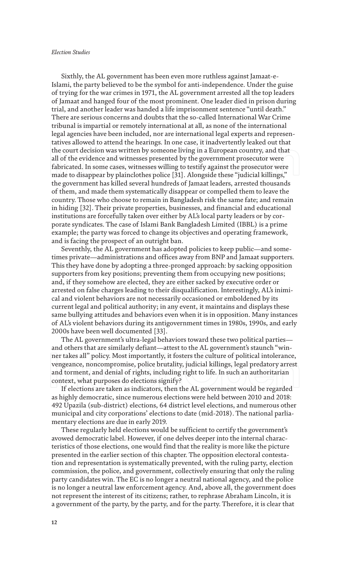#### *Election Studies*

Sixthly, the AL government has been even more ruthless against Jamaat-e-Islami, the party believed to be the symbol for anti-independence. Under the guise of trying for the war crimes in 1971, the AL government arrested all the top leaders of Jamaat and hanged four of the most prominent. One leader died in prison during trial, and another leader was handed a life imprisonment sentence "until death." There are serious concerns and doubts that the so-called International War Crime tribunal is impartial or remotely international at all, as none of the international legal agencies have been included, nor are international legal experts and representatives allowed to attend the hearings. In one case, it inadvertently leaked out that the court decision was written by someone living in a European country, and that all of the evidence and witnesses presented by the government prosecutor were fabricated. In some cases, witnesses willing to testify against the prosecutor were made to disappear by plainclothes police [31]. Alongside these "judicial killings," the government has killed several hundreds of Jamaat leaders, arrested thousands of them, and made them systematically disappear or compelled them to leave the country. Those who choose to remain in Bangladesh risk the same fate; and remain in hiding [32]. Their private properties, businesses, and financial and educational institutions are forcefully taken over either by AL's local party leaders or by corporate syndicates. The case of Islami Bank Bangladesh Limited (IBBL) is a prime example; the party was forced to change its objectives and operating framework, and is facing the prospect of an outright ban.

Seventhly, the AL government has adopted policies to keep public—and sometimes private—administrations and offices away from BNP and Jamaat supporters. This they have done by adopting a three-pronged approach: by sacking opposition supporters from key positions; preventing them from occupying new positions; and, if they somehow are elected, they are either sacked by executive order or arrested on false charges leading to their disqualification. Interestingly, AL's inimical and violent behaviors are not necessarily occasioned or emboldened by its current legal and political authority; in any event, it maintains and displays these same bullying attitudes and behaviors even when it is in opposition. Many instances of AL's violent behaviors during its antigovernment times in 1980s, 1990s, and early 2000s have been well documented [33].

The AL government's ultra-legal behaviors toward these two political parties and others that are similarly defiant—attest to the AL government's staunch "winner takes all" policy. Most importantly, it fosters the culture of political intolerance, vengeance, noncompromise, police brutality, judicial killings, legal predatory arrest and torment, and denial of rights, including right to life. In such an authoritarian context, what purposes do elections signify?

If elections are taken as indicators, then the AL government would be regarded as highly democratic, since numerous elections were held between 2010 and 2018: 492 Upazila (sub-district) elections, 64 district level elections, and numerous other municipal and city corporations' elections to date (mid-2018). The national parliamentary elections are due in early 2019.

These regularly held elections would be sufficient to certify the government's avowed democratic label. However, if one delves deeper into the internal characteristics of those elections, one would find that the reality is more like the picture presented in the earlier section of this chapter. The opposition electoral contestation and representation is systematically prevented, with the ruling party, election commission, the police, and government, collectively ensuring that only the ruling party candidates win. The EC is no longer a neutral national agency, and the police is no longer a neutral law enforcement agency. And, above all, the government does not represent the interest of its citizens; rather, to rephrase Abraham Lincoln, it is a government of the party, by the party, and for the party. Therefore, it is clear that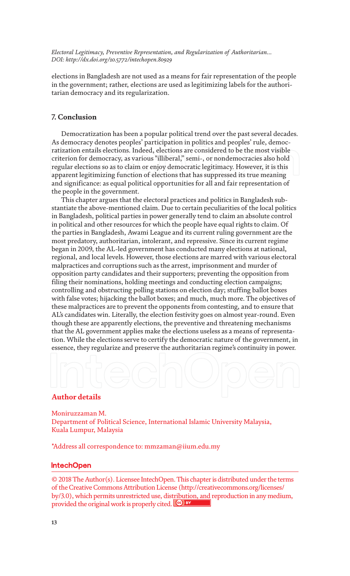elections in Bangladesh are not used as a means for fair representation of the people in the government; rather, elections are used as legitimizing labels for the authoritarian democracy and its regularization.

### **7. Conclusion**

Democratization has been a popular political trend over the past several decades. As democracy denotes peoples' participation in politics and peoples' rule, democratization entails elections. Indeed, elections are considered to be the most visible criterion for democracy, as various "illiberal," semi-, or nondemocracies also hold regular elections so as to claim or enjoy democratic legitimacy. However, it is this apparent legitimizing function of elections that has suppressed its true meaning and significance: as equal political opportunities for all and fair representation of the people in the government.

This chapter argues that the electoral practices and politics in Bangladesh substantiate the above-mentioned claim. Due to certain peculiarities of the local politics in Bangladesh, political parties in power generally tend to claim an absolute control in political and other resources for which the people have equal rights to claim. Of the parties in Bangladesh, Awami League and its current ruling government are the most predatory, authoritarian, intolerant, and repressive. Since its current regime began in 2009, the AL-led government has conducted many elections at national, regional, and local levels. However, those elections are marred with various electoral malpractices and corruptions such as the arrest, imprisonment and murder of opposition party candidates and their supporters; preventing the opposition from filing their nominations, holding meetings and conducting election campaigns; controlling and obstructing polling stations on election day; stuffing ballot boxes with false votes; hijacking the ballot boxes; and much, much more. The objectives of these malpractices are to prevent the opponents from contesting, and to ensure that AL's candidates win. Literally, the election festivity goes on almost year-round. Even though these are apparently elections, the preventive and threatening mechanisms that the AL government applies make the elections useless as a means of representation. While the elections serve to certify the democratic nature of the government, in essence, they regularize and preserve the authoritarian regime's continuity in power.

## **Author details**

Moniruzzaman M. Department of Political Science, International Islamic University Malaysia, Kuala Lumpur, Malaysia

\*Address all correspondence to: mmzaman@iium.edu.my

## IntechOpen

© 2018 The Author(s). Licensee IntechOpen. This chapter is distributed under the terms of the Creative Commons Attribution License (http://creativecommons.org/licenses/ by/3.0), which permits unrestricted use, distribution, and reproduction in any medium, provided the original work is properly cited. Cc) BY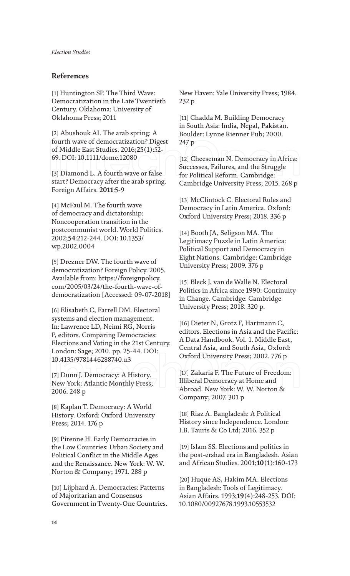## **References**

[1] Huntington SP. The Third Wave: Democratization in the Late Twentieth Century. Oklahoma: University of Oklahoma Press; 2011

[2] Abushouk AI. The arab spring: A fourth wave of democratization? Digest of Middle East Studies. 2016;**25**(1):52- 69. DOI: 10.1111/dome.12080

[3] Diamond L. A fourth wave or false start? Democracy after the arab spring. Foreign Affairs. **2011**:5-9

[4] McFaul M. The fourth wave of democracy and dictatorship: Noncooperation transition in the postcommunist world. World Politics. 2002;**54**:212-244. DOI: 10.1353/ wp.2002.0004

[5] Drezner DW. The fourth wave of democratization? Foreign Policy. 2005. Available from: https://foreignpolicy. com/2005/03/24/the-fourth-wave-ofdemocratization [Accessed: 09-07-2018]

[6] Elisabeth C, Farrell DM. Electoral systems and election management. In: Lawrence LD, Neimi RG, Norris P, editors. Comparing Democracies: Elections and Voting in the 21st Century. London: Sage; 2010. pp. 25-44. DOI: 10.4135/9781446288740.n3

[7] Dunn J. Democracy: A History. New York: Atlantic Monthly Press; 2006. 248 p

[8] Kaplan T. Democracy: A World History. Oxford: Oxford University Press; 2014. 176 p

[9] Pirenne H. Early Democracies in the Low Countries: Urban Society and Political Conflict in the Middle Ages and the Renaissance. New York: W. W. Norton & Company; 1971. 288 p

[10] Lijphard A. Democracies: Patterns of Majoritarian and Consensus Government in Twenty-One Countries. New Haven: Yale University Press; 1984. 232 p

[11] Chadda M. Building Democracy in South Asia: India, Nepal, Pakistan. Boulder: Lynne Rienner Pub; 2000. 247 p

[12] Cheeseman N. Democracy in Africa: Successes, Failures, and the Struggle for Political Reform. Cambridge: Cambridge University Press; 2015. 268 p

[13] McClintock C. Electoral Rules and Democracy in Latin America. Oxford: Oxford University Press; 2018. 336 p

[14] Booth JA, Seligson MA. The Legitimacy Puzzle in Latin America: Political Support and Democracy in Eight Nations. Cambridge: Cambridge University Press; 2009. 376 p

[15] Bleck J, van de Walle N. Electoral Politics in Africa since 1990: Continuity in Change. Cambridge: Cambridge University Press; 2018. 320 p.

[16] Dieter N, Grotz F, Hartmann C, editors. Elections in Asia and the Pacific: A Data Handbook. Vol. 1. Middle East, Central Asia, and South Asia, Oxford: Oxford University Press; 2002. 776 p

[17] Zakaria F. The Future of Freedom: Illiberal Democracy at Home and Abroad. New York: W. W. Norton & Company; 2007. 301 p

[18] Riaz A. Bangladesh: A Political History since Independence. London: I.B. Tauris & Co Ltd; 2016. 352 p

[19] Islam SS. Elections and politics in the post-ershad era in Bangladesh. Asian and African Studies. 2001;**10**(1):160-173

[20] Huque AS, Hakim MA. Elections in Bangladesh: Tools of Legitimacy. Asian Affairs. 1993;**19**(4):248-253. DOI: 10.1080/00927678.1993.10553532